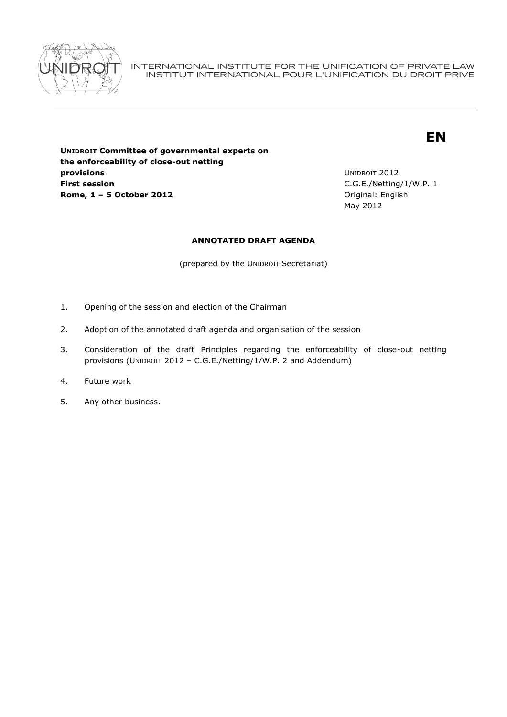

INTERNATIONAL INSTITUTE FOR THE UNIFICATION OF PRIVATE LAW INSTITUT INTERNATIONAL POUR L'UNIFICATION DU DROIT PRIVE

# **EN**

**UNIDROIT Committee of governmental experts on the enforceability of close-out netting provisions First session Rome, 1 – 5 October 2012 Communication Communication Communication Communication Communication Communication Communication Communication Communication Communication Communication Communication Communication Communicatio** 

UNIDROIT 2012 C.G.E./Netting/1/W.P. 1 May 2012

## **ANNOTATED DRAFT AGENDA**

(prepared by the UNIDROIT Secretariat)

- 1. Opening of the session and election of the Chairman
- 2. Adoption of the annotated draft agenda and organisation of the session
- 3. Consideration of the draft Principles regarding the enforceability of close-out netting provisions (UNIDROIT 2012 - C.G.E./Netting/1/W.P. 2 and Addendum)
- 4. Future work
- 5. Any other business.